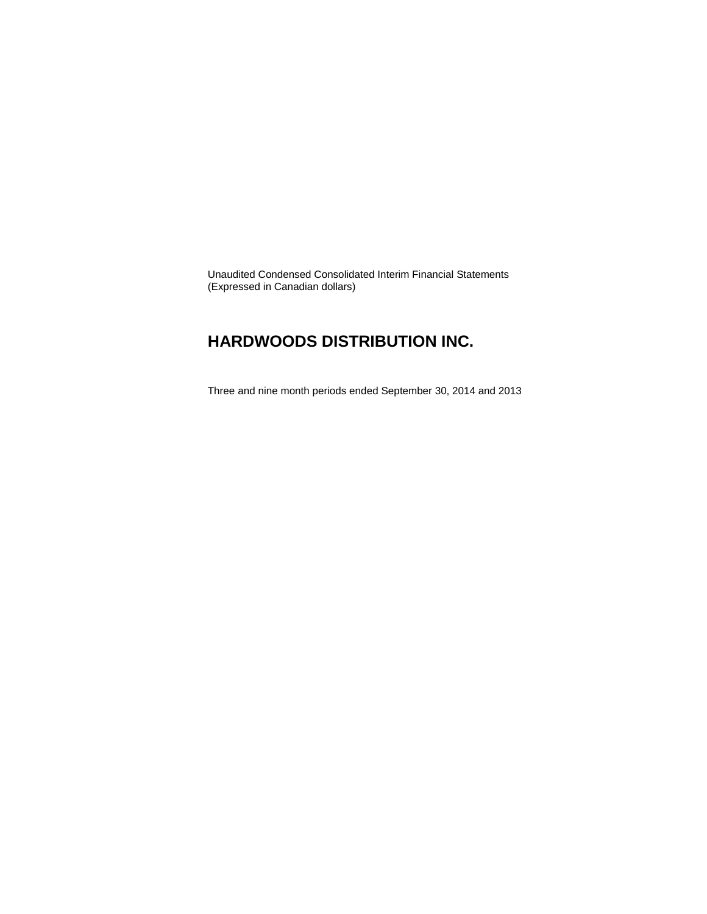Unaudited Condensed Consolidated Interim Financial Statements (Expressed in Canadian dollars)

### **HARDWOODS DISTRIBUTION INC.**

Three and nine month periods ended September 30, 2014 and 2013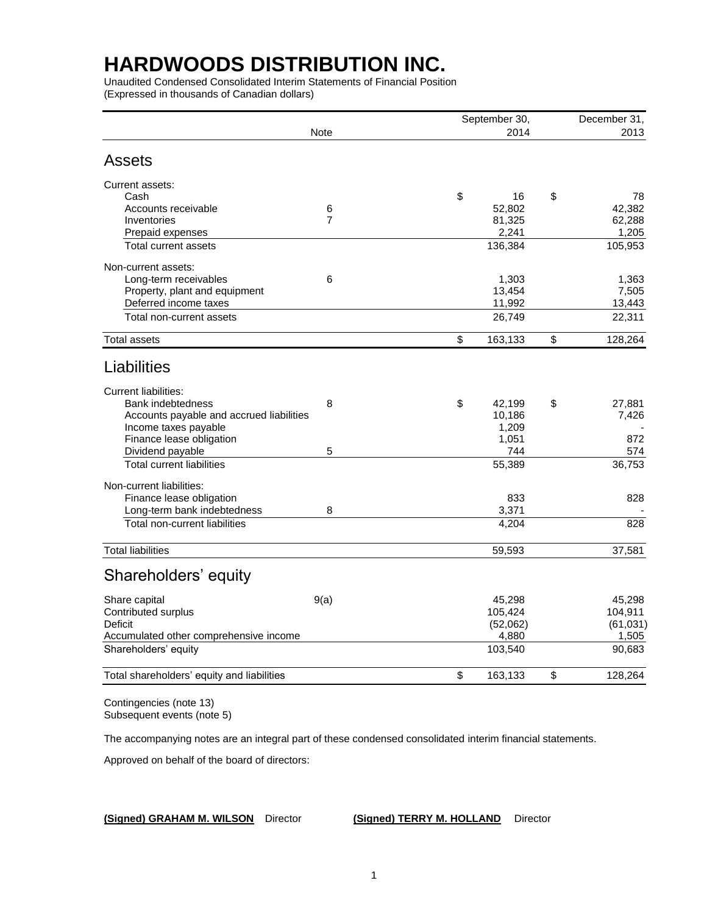Unaudited Condensed Consolidated Interim Statements of Financial Position (Expressed in thousands of Canadian dollars)

|                                            |                | September 30, | December 31,     |
|--------------------------------------------|----------------|---------------|------------------|
|                                            | <b>Note</b>    | 2014          | 2013             |
| <b>Assets</b>                              |                |               |                  |
| Current assets:                            |                |               |                  |
| Cash                                       |                | \$<br>16      | \$<br>78         |
| Accounts receivable                        | 6              | 52,802        | 42,382           |
| Inventories                                | $\overline{7}$ | 81,325        | 62,288           |
| Prepaid expenses                           |                | 2,241         | 1,205            |
| Total current assets                       |                | 136,384       | 105,953          |
| Non-current assets:                        |                |               |                  |
| Long-term receivables                      | 6              | 1,303         | 1,363            |
| Property, plant and equipment              |                | 13,454        | 7,505            |
| Deferred income taxes                      |                | 11,992        | 13,443           |
| Total non-current assets                   |                | 26,749        | 22,311           |
| Total assets                               |                | \$<br>163,133 | \$<br>128,264    |
| Liabilities                                |                |               |                  |
| <b>Current liabilities:</b>                |                |               |                  |
| <b>Bank indebtedness</b>                   | 8              | \$<br>42,199  | \$<br>27,881     |
| Accounts payable and accrued liabilities   |                | 10,186        | 7,426            |
| Income taxes payable                       |                | 1,209         |                  |
| Finance lease obligation                   |                | 1,051         | 872              |
| Dividend payable                           | 5              | 744           | 574              |
| <b>Total current liabilities</b>           |                | 55,389        | 36,753           |
| Non-current liabilities:                   |                |               |                  |
| Finance lease obligation                   |                | 833           | 828              |
| Long-term bank indebtedness                | 8              | 3,371         |                  |
| Total non-current liabilities              |                | 4,204         | $\overline{828}$ |
| <b>Total liabilities</b>                   |                | 59,593        | 37,581           |
| Shareholders' equity                       |                |               |                  |
| Share capital                              | 9(a)           | 45,298        | 45,298           |
| Contributed surplus                        |                | 105,424       | 104,911          |
| <b>Deficit</b>                             |                | (52,062)      | (61, 031)        |
| Accumulated other comprehensive income     |                | 4,880         | 1,505            |
| Shareholders' equity                       |                | 103,540       | 90,683           |
| Total shareholders' equity and liabilities |                | \$<br>163,133 | \$<br>128,264    |
|                                            |                |               |                  |

Contingencies (note 13) Subsequent events (note 5)

The accompanying notes are an integral part of these condensed consolidated interim financial statements.

Approved on behalf of the board of directors:

**(Signed) GRAHAM M. WILSON** Director **(Signed) TERRY M. HOLLAND** Director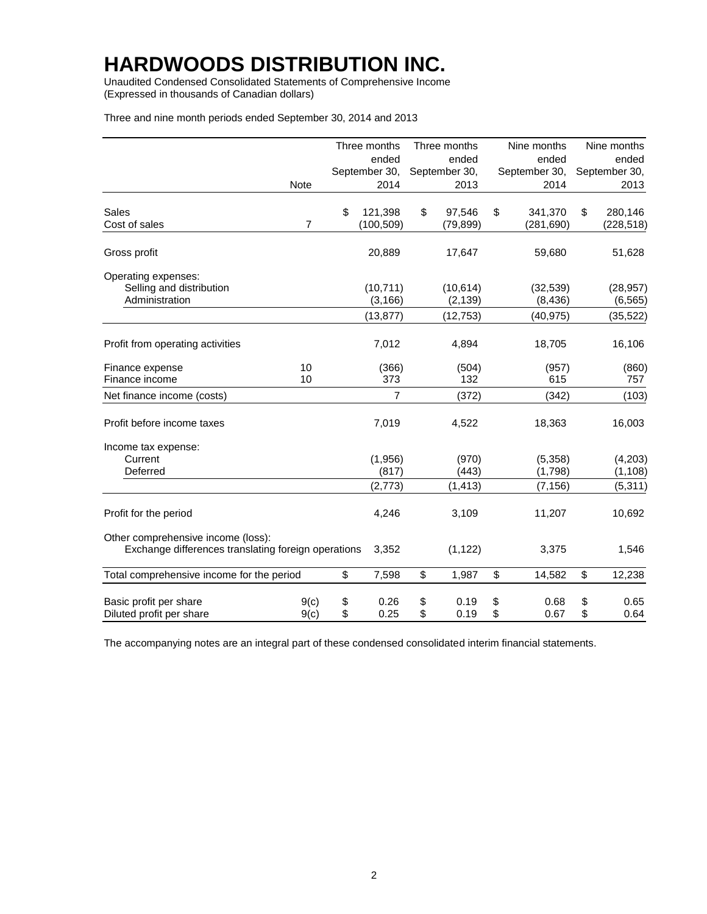Unaudited Condensed Consolidated Statements of Comprehensive Income (Expressed in thousands of Canadian dollars)

Three and nine month periods ended September 30, 2014 and 2013

|                                                                                           |                | Three months     | Three months   | Nine months        | Nine months         |
|-------------------------------------------------------------------------------------------|----------------|------------------|----------------|--------------------|---------------------|
|                                                                                           |                | ended            | ended          | ended              | ended               |
|                                                                                           |                | September 30,    | September 30,  | September 30,      | September 30,       |
|                                                                                           | Note           | 2014             | 2013           | 2014               | 2013                |
| Sales                                                                                     |                | \$<br>121,398    | \$<br>97,546   | \$<br>341,370      | \$<br>280,146       |
| Cost of sales                                                                             | $\overline{7}$ | (100, 509)       | (79, 899)      | (281, 690)         | (228, 518)          |
| Gross profit                                                                              |                | 20,889           | 17,647         | 59,680             | 51,628              |
| Operating expenses:<br>Selling and distribution                                           |                | (10, 711)        | (10, 614)      | (32, 539)          | (28, 957)           |
| Administration                                                                            |                | (3, 166)         | (2, 139)       | (8, 436)           | (6, 565)            |
|                                                                                           |                | (13, 877)        | (12, 753)      | (40, 975)          | (35, 522)           |
| Profit from operating activities                                                          |                | 7,012            | 4,894          | 18,705             | 16,106              |
| Finance expense                                                                           | 10             | (366)            | (504)          | (957)              | (860)               |
| Finance income                                                                            | 10             | 373              | 132            | 615                | 757                 |
| Net finance income (costs)                                                                |                | 7                | (372)          | (342)              | (103)               |
| Profit before income taxes                                                                |                | 7,019            | 4,522          | 18,363             | 16,003              |
| Income tax expense:                                                                       |                |                  |                |                    |                     |
| Current<br>Deferred                                                                       |                | (1,956)<br>(817) | (970)<br>(443) | (5,358)<br>(1,798) | (4,203)<br>(1, 108) |
|                                                                                           |                | (2, 773)         | (1, 413)       | (7, 156)           | (5, 311)            |
| Profit for the period                                                                     |                | 4,246            | 3,109          | 11,207             | 10,692              |
| Other comprehensive income (loss):<br>Exchange differences translating foreign operations |                | 3,352            | (1, 122)       | 3,375              | 1,546               |
| Total comprehensive income for the period                                                 |                | \$<br>7,598      | \$<br>1,987    | \$<br>14,582       | \$<br>12,238        |
| Basic profit per share                                                                    | 9(c)           | \$<br>0.26       | \$<br>0.19     | \$<br>0.68         | \$<br>0.65          |
| Diluted profit per share                                                                  | 9(c)           | \$<br>0.25       | \$<br>0.19     | \$<br>0.67         | \$<br>0.64          |

The accompanying notes are an integral part of these condensed consolidated interim financial statements.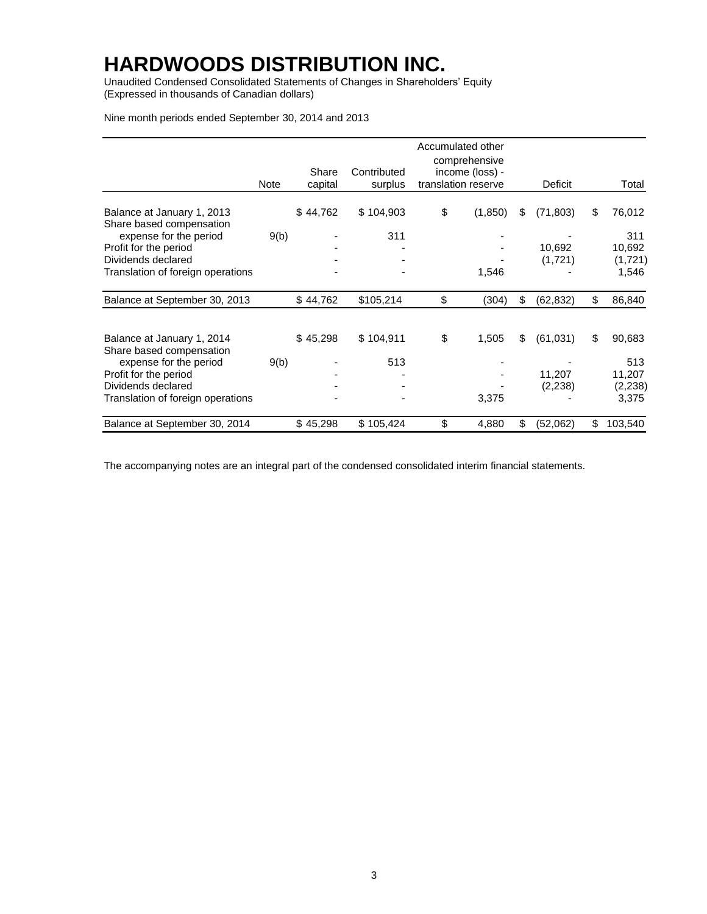Unaudited Condensed Consolidated Statements of Changes in Shareholders' Equity (Expressed in thousands of Canadian dollars)

Nine month periods ended September 30, 2014 and 2013

|                                                         |      |                  |                        | Accumulated other<br>comprehensive     |                 |                   |
|---------------------------------------------------------|------|------------------|------------------------|----------------------------------------|-----------------|-------------------|
|                                                         | Note | Share<br>capital | Contributed<br>surplus | income (loss) -<br>translation reserve | Deficit         | Total             |
| Balance at January 1, 2013<br>Share based compensation  |      | \$44,762         | \$104,903              | \$<br>(1, 850)                         | \$<br>(71, 803) | \$<br>76,012      |
| expense for the period<br>Profit for the period         | 9(b) |                  | 311                    |                                        | 10,692          | 311<br>10,692     |
| Dividends declared<br>Translation of foreign operations |      |                  |                        | 1,546                                  | (1,721)         | (1,721)<br>1,546  |
| Balance at September 30, 2013                           |      | \$44,762         | \$105,214              | \$<br>(304)                            | \$<br>(62, 832) | \$<br>86,840      |
| Balance at January 1, 2014<br>Share based compensation  |      | \$45,298         | \$104,911              | \$<br>1,505                            | \$<br>(61, 031) | \$<br>90,683      |
| expense for the period                                  | 9(b) |                  | 513                    |                                        |                 | 513               |
| Profit for the period<br>Dividends declared             |      |                  |                        |                                        | 11,207          | 11,207            |
| Translation of foreign operations                       |      |                  |                        | 3,375                                  | (2,238)         | (2, 238)<br>3,375 |
| Balance at September 30, 2014                           |      | \$45,298         | \$105,424              | \$<br>4,880                            | \$<br>(52,062)  | \$<br>103,540     |

The accompanying notes are an integral part of the condensed consolidated interim financial statements.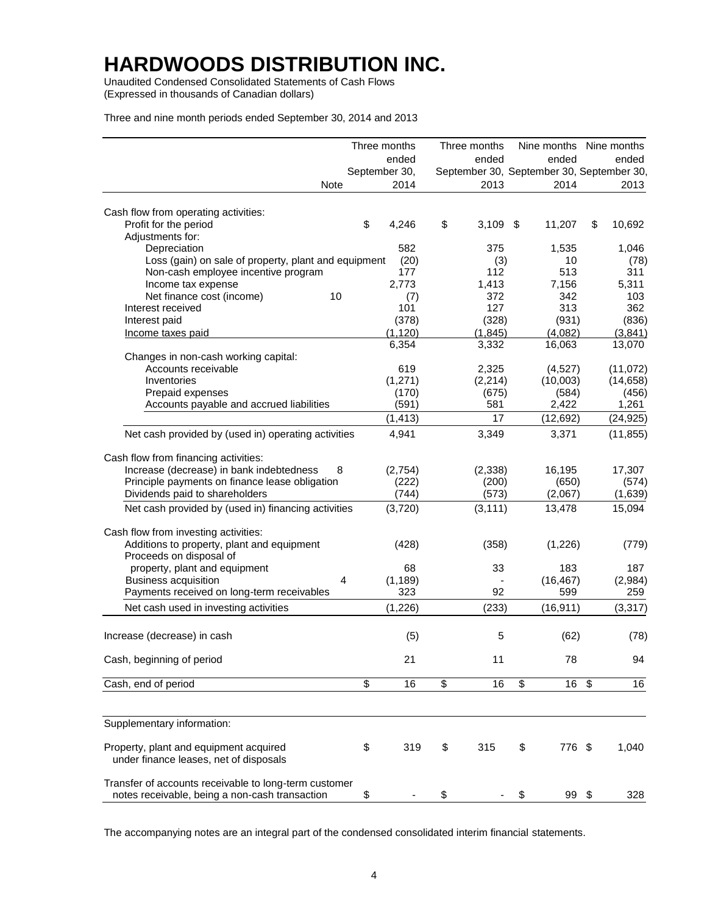Unaudited Condensed Consolidated Statements of Cash Flows (Expressed in thousands of Canadian dollars)

Three and nine month periods ended September 30, 2014 and 2013

|                                                       | Three months          | Three months |              | Nine months Nine months                           |
|-------------------------------------------------------|-----------------------|--------------|--------------|---------------------------------------------------|
|                                                       | ended                 | ended        | ended        | ended                                             |
| <b>Note</b>                                           | September 30,<br>2014 | 2013         | 2014         | September 30, September 30, September 30,<br>2013 |
|                                                       |                       |              |              |                                                   |
| Cash flow from operating activities:                  |                       |              |              |                                                   |
| Profit for the period                                 | \$<br>4,246           | \$<br>3,109  | \$<br>11,207 | \$<br>10,692                                      |
| Adjustments for:                                      |                       |              |              |                                                   |
| Depreciation                                          | 582                   | 375          | 1,535        | 1,046                                             |
| Loss (gain) on sale of property, plant and equipment  | (20)                  | (3)          | 10           | (78)                                              |
| Non-cash employee incentive program                   | 177                   | 112          | 513          | 311                                               |
| Income tax expense                                    | 2,773                 | 1,413        | 7,156        | 5,311                                             |
| Net finance cost (income)<br>10                       | (7)                   | 372          | 342          | 103                                               |
| Interest received                                     | 101                   | 127          | 313          | 362                                               |
| Interest paid                                         | (378)                 | (328)        | (931)        | (836)                                             |
|                                                       | (1, 120)              | (1, 845)     | (4,082)      | (3,841)                                           |
| Income taxes paid                                     |                       |              |              |                                                   |
|                                                       | 6,354                 | 3,332        | 16,063       | 13,070                                            |
| Changes in non-cash working capital:                  |                       |              |              |                                                   |
| Accounts receivable                                   | 619                   | 2,325        | (4,527)      | (11,072)                                          |
| Inventories                                           | (1, 271)              | (2,214)      | (10,003)     | (14, 658)                                         |
| Prepaid expenses                                      | (170)                 | (675)        | (584)        | (456)                                             |
| Accounts payable and accrued liabilities              | (591)                 | 581          | 2,422        | 1,261                                             |
|                                                       | (1, 413)              | 17           | (12, 692)    | (24, 925)                                         |
| Net cash provided by (used in) operating activities   | 4,941                 | 3,349        | 3,371        | (11, 855)                                         |
|                                                       |                       |              |              |                                                   |
| Cash flow from financing activities:                  |                       |              |              |                                                   |
| Increase (decrease) in bank indebtedness<br>8         | (2,754)               | (2,338)      | 16,195       | 17,307                                            |
| Principle payments on finance lease obligation        | (222)                 | (200)        | (650)        | (574)                                             |
| Dividends paid to shareholders                        | (744)                 | (573)        | (2,067)      | (1,639)                                           |
| Net cash provided by (used in) financing activities   | (3,720)               | (3, 111)     | 13,478       | 15,094                                            |
|                                                       |                       |              |              |                                                   |
| Cash flow from investing activities:                  |                       |              |              |                                                   |
| Additions to property, plant and equipment            | (428)                 | (358)        | (1,226)      | (779)                                             |
| Proceeds on disposal of                               |                       |              |              |                                                   |
| property, plant and equipment                         | 68                    | 33           | 183          | 187                                               |
| <b>Business acquisition</b><br>4                      | (1, 189)              |              | (16, 467)    | (2,984)                                           |
| Payments received on long-term receivables            | 323                   | 92           | 599          | 259                                               |
| Net cash used in investing activities                 | (1,226)               | (233)        | (16, 911)    | (3, 317)                                          |
|                                                       |                       |              |              |                                                   |
| Increase (decrease) in cash                           | (5)                   | 5            | (62)         | (78)                                              |
| Cash, beginning of period                             | 21                    | 11           | 78           | 94                                                |
|                                                       |                       |              |              |                                                   |
| Cash, end of period                                   | \$<br>16              | \$<br>16     | \$<br>16     | \$<br>16                                          |
|                                                       |                       |              |              |                                                   |
| Supplementary information:                            |                       |              |              |                                                   |
| Property, plant and equipment acquired                | \$<br>319             | \$<br>315    | \$<br>776 \$ | 1,040                                             |
| under finance leases, net of disposals                |                       |              |              |                                                   |
| Transfer of accounts receivable to long-term customer |                       |              |              |                                                   |
| notes receivable, being a non-cash transaction        | \$                    | \$           | \$<br>99 \$  | 328                                               |

The accompanying notes are an integral part of the condensed consolidated interim financial statements.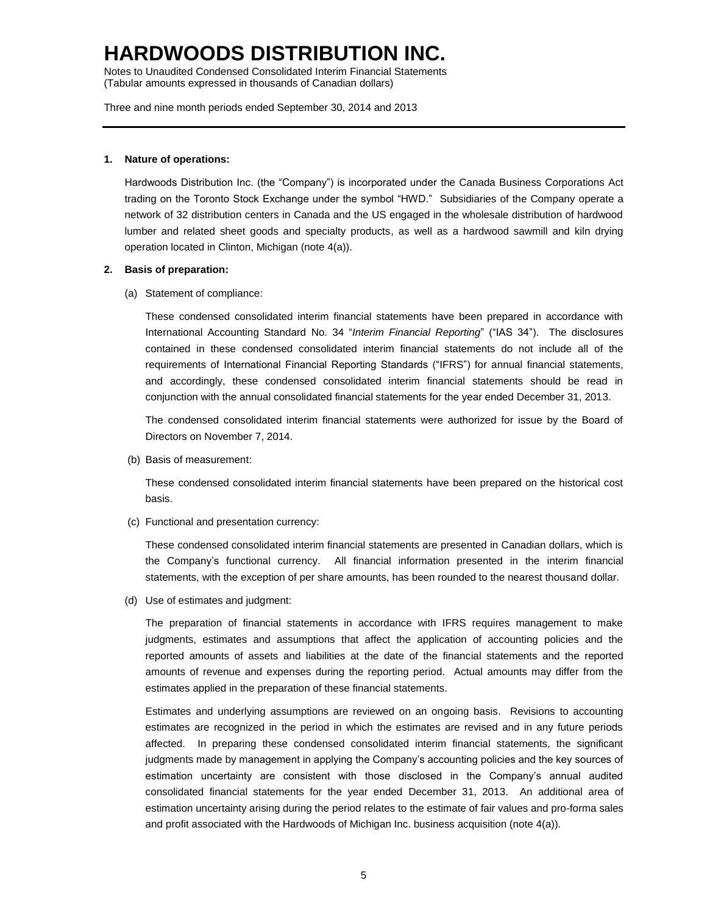Notes to Unaudited Condensed Consolidated Interim Financial Statements (Tabular amounts expressed in thousands of Canadian dollars)

Three and nine month periods ended September 30, 2014 and 2013

#### **1. Nature of operations:**

Hardwoods Distribution Inc. (the "Company") is incorporated under the Canada Business Corporations Act trading on the Toronto Stock Exchange under the symbol "HWD." Subsidiaries of the Company operate a network of 32 distribution centers in Canada and the US engaged in the wholesale distribution of hardwood lumber and related sheet goods and specialty products, as well as a hardwood sawmill and kiln drying operation located in Clinton, Michigan (note 4(a)).

#### **2. Basis of preparation:**

(a) Statement of compliance:

These condensed consolidated interim financial statements have been prepared in accordance with International Accounting Standard No. 34 "*Interim Financial Reporting*" ("IAS 34"). The disclosures contained in these condensed consolidated interim financial statements do not include all of the requirements of International Financial Reporting Standards ("IFRS") for annual financial statements, and accordingly, these condensed consolidated interim financial statements should be read in conjunction with the annual consolidated financial statements for the year ended December 31, 2013.

The condensed consolidated interim financial statements were authorized for issue by the Board of Directors on November 7, 2014.

(b) Basis of measurement:

These condensed consolidated interim financial statements have been prepared on the historical cost basis.

(c) Functional and presentation currency:

These condensed consolidated interim financial statements are presented in Canadian dollars, which is the Company's functional currency. All financial information presented in the interim financial statements, with the exception of per share amounts, has been rounded to the nearest thousand dollar.

(d) Use of estimates and judgment:

The preparation of financial statements in accordance with IFRS requires management to make judgments, estimates and assumptions that affect the application of accounting policies and the reported amounts of assets and liabilities at the date of the financial statements and the reported amounts of revenue and expenses during the reporting period. Actual amounts may differ from the estimates applied in the preparation of these financial statements.

Estimates and underlying assumptions are reviewed on an ongoing basis. Revisions to accounting estimates are recognized in the period in which the estimates are revised and in any future periods affected. In preparing these condensed consolidated interim financial statements, the significant judgments made by management in applying the Company's accounting policies and the key sources of estimation uncertainty are consistent with those disclosed in the Company's annual audited consolidated financial statements for the year ended December 31, 2013. An additional area of estimation uncertainty arising during the period relates to the estimate of fair values and pro-forma sales and profit associated with the Hardwoods of Michigan Inc. business acquisition (note 4(a)).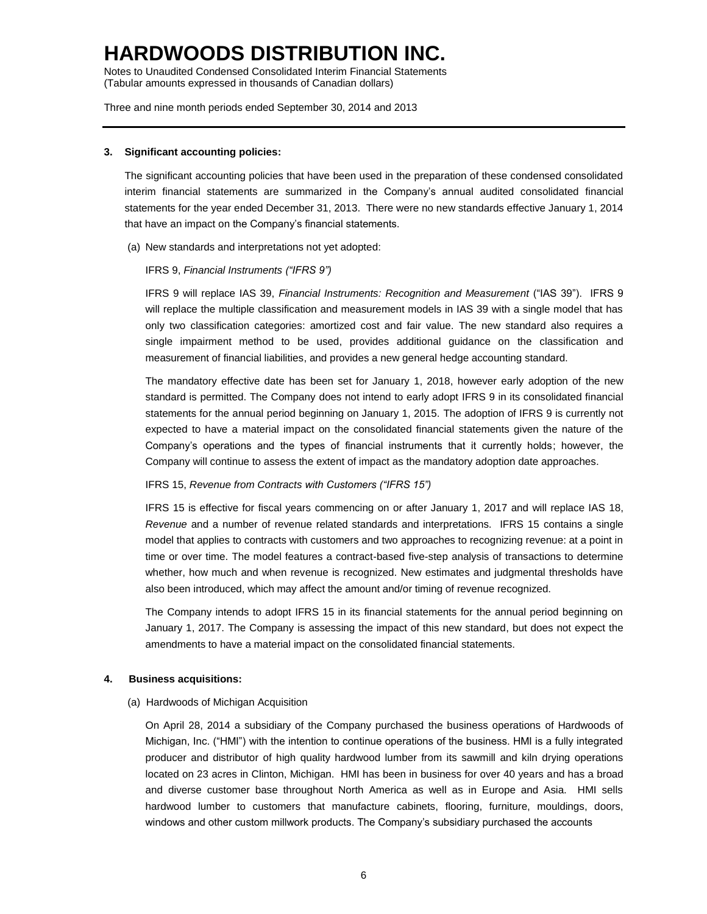Notes to Unaudited Condensed Consolidated Interim Financial Statements (Tabular amounts expressed in thousands of Canadian dollars)

Three and nine month periods ended September 30, 2014 and 2013

#### **3. Significant accounting policies:**

The significant accounting policies that have been used in the preparation of these condensed consolidated interim financial statements are summarized in the Company's annual audited consolidated financial statements for the year ended December 31, 2013. There were no new standards effective January 1, 2014 that have an impact on the Company's financial statements.

(a) New standards and interpretations not yet adopted:

### IFRS 9, *Financial Instruments ("IFRS 9")*

IFRS 9 will replace IAS 39, *Financial Instruments: Recognition and Measurement* ("IAS 39"). IFRS 9 will replace the multiple classification and measurement models in IAS 39 with a single model that has only two classification categories: amortized cost and fair value. The new standard also requires a single impairment method to be used, provides additional guidance on the classification and measurement of financial liabilities, and provides a new general hedge accounting standard.

The mandatory effective date has been set for January 1, 2018, however early adoption of the new standard is permitted. The Company does not intend to early adopt IFRS 9 in its consolidated financial statements for the annual period beginning on January 1, 2015. The adoption of IFRS 9 is currently not expected to have a material impact on the consolidated financial statements given the nature of the Company's operations and the types of financial instruments that it currently holds; however, the Company will continue to assess the extent of impact as the mandatory adoption date approaches.

#### IFRS 15, *Revenue from Contracts with Customers ("IFRS 15")*

IFRS 15 is effective for fiscal years commencing on or after January 1, 2017 and will replace IAS 18, *Revenue* and a number of revenue related standards and interpretations. IFRS 15 contains a single model that applies to contracts with customers and two approaches to recognizing revenue: at a point in time or over time. The model features a contract-based five-step analysis of transactions to determine whether, how much and when revenue is recognized. New estimates and judgmental thresholds have also been introduced, which may affect the amount and/or timing of revenue recognized.

The Company intends to adopt IFRS 15 in its financial statements for the annual period beginning on January 1, 2017. The Company is assessing the impact of this new standard, but does not expect the amendments to have a material impact on the consolidated financial statements.

### **4. Business acquisitions:**

(a) Hardwoods of Michigan Acquisition

On April 28, 2014 a subsidiary of the Company purchased the business operations of Hardwoods of Michigan, Inc. ("HMI") with the intention to continue operations of the business. HMI is a fully integrated producer and distributor of high quality hardwood lumber from its sawmill and kiln drying operations located on 23 acres in Clinton, Michigan. HMI has been in business for over 40 years and has a broad and diverse customer base throughout North America as well as in Europe and Asia. HMI sells hardwood lumber to customers that manufacture cabinets, flooring, furniture, mouldings, doors, windows and other custom millwork products. The Company's subsidiary purchased the accounts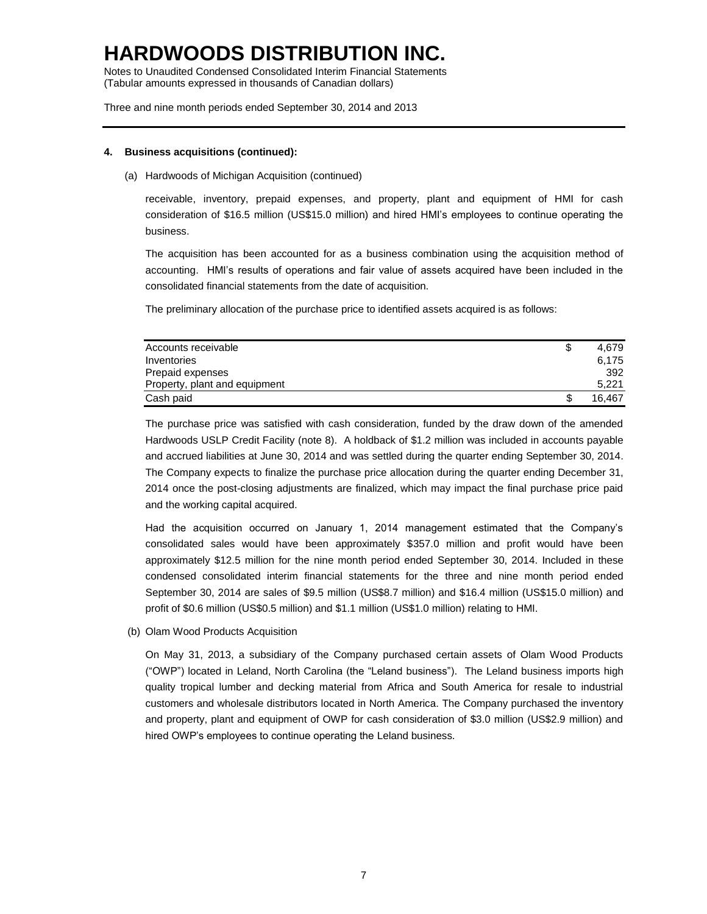Notes to Unaudited Condensed Consolidated Interim Financial Statements (Tabular amounts expressed in thousands of Canadian dollars)

Three and nine month periods ended September 30, 2014 and 2013

### **4. Business acquisitions (continued):**

(a) Hardwoods of Michigan Acquisition (continued)

receivable, inventory, prepaid expenses, and property, plant and equipment of HMI for cash consideration of \$16.5 million (US\$15.0 million) and hired HMI's employees to continue operating the business.

The acquisition has been accounted for as a business combination using the acquisition method of accounting. HMI's results of operations and fair value of assets acquired have been included in the consolidated financial statements from the date of acquisition.

The preliminary allocation of the purchase price to identified assets acquired is as follows:

| Accounts receivable           | 4.679  |
|-------------------------------|--------|
| Inventories                   | 6.175  |
| Prepaid expenses              | 392    |
| Property, plant and equipment | 5,221  |
| Cash paid                     | 16.467 |

The purchase price was satisfied with cash consideration, funded by the draw down of the amended Hardwoods USLP Credit Facility (note 8). A holdback of \$1.2 million was included in accounts payable and accrued liabilities at June 30, 2014 and was settled during the quarter ending September 30, 2014. The Company expects to finalize the purchase price allocation during the quarter ending December 31, 2014 once the post-closing adjustments are finalized, which may impact the final purchase price paid and the working capital acquired.

Had the acquisition occurred on January 1, 2014 management estimated that the Company's consolidated sales would have been approximately \$357.0 million and profit would have been approximately \$12.5 million for the nine month period ended September 30, 2014. Included in these condensed consolidated interim financial statements for the three and nine month period ended September 30, 2014 are sales of \$9.5 million (US\$8.7 million) and \$16.4 million (US\$15.0 million) and profit of \$0.6 million (US\$0.5 million) and \$1.1 million (US\$1.0 million) relating to HMI.

(b) Olam Wood Products Acquisition

On May 31, 2013, a subsidiary of the Company purchased certain assets of Olam Wood Products ("OWP") located in Leland, North Carolina (the "Leland business"). The Leland business imports high quality tropical lumber and decking material from Africa and South America for resale to industrial customers and wholesale distributors located in North America. The Company purchased the inventory and property, plant and equipment of OWP for cash consideration of \$3.0 million (US\$2.9 million) and hired OWP's employees to continue operating the Leland business.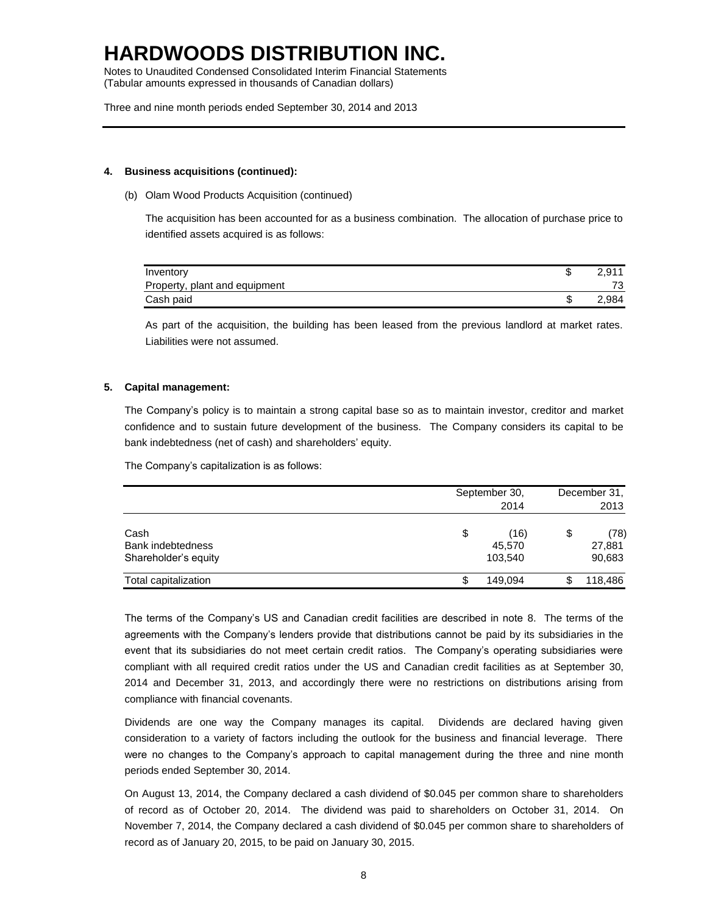Notes to Unaudited Condensed Consolidated Interim Financial Statements (Tabular amounts expressed in thousands of Canadian dollars)

Three and nine month periods ended September 30, 2014 and 2013

#### **4. Business acquisitions (continued):**

(b) Olam Wood Products Acquisition (continued)

The acquisition has been accounted for as a business combination. The allocation of purchase price to identified assets acquired is as follows:

| Inventory                     | 2.911 |
|-------------------------------|-------|
| Property, plant and equipment | 73    |
| Cash paid                     | 2.984 |

As part of the acquisition, the building has been leased from the previous landlord at market rates. Liabilities were not assumed.

### **5. Capital management:**

The Company's policy is to maintain a strong capital base so as to maintain investor, creditor and market confidence and to sustain future development of the business. The Company considers its capital to be bank indebtedness (net of cash) and shareholders' equity.

The Company's capitalization is as follows:

|                                                   | September 30,<br>2014           | December 31,<br>2013           |  |
|---------------------------------------------------|---------------------------------|--------------------------------|--|
| Cash<br>Bank indebtedness<br>Shareholder's equity | \$<br>(16)<br>45,570<br>103,540 | \$<br>(78)<br>27,881<br>90,683 |  |
| Total capitalization                              | \$<br>149.094                   | 118,486                        |  |

The terms of the Company's US and Canadian credit facilities are described in note 8. The terms of the agreements with the Company's lenders provide that distributions cannot be paid by its subsidiaries in the event that its subsidiaries do not meet certain credit ratios. The Company's operating subsidiaries were compliant with all required credit ratios under the US and Canadian credit facilities as at September 30, 2014 and December 31, 2013, and accordingly there were no restrictions on distributions arising from compliance with financial covenants.

Dividends are one way the Company manages its capital. Dividends are declared having given consideration to a variety of factors including the outlook for the business and financial leverage. There were no changes to the Company's approach to capital management during the three and nine month periods ended September 30, 2014.

On August 13, 2014, the Company declared a cash dividend of \$0.045 per common share to shareholders of record as of October 20, 2014. The dividend was paid to shareholders on October 31, 2014. On November 7, 2014, the Company declared a cash dividend of \$0.045 per common share to shareholders of record as of January 20, 2015, to be paid on January 30, 2015.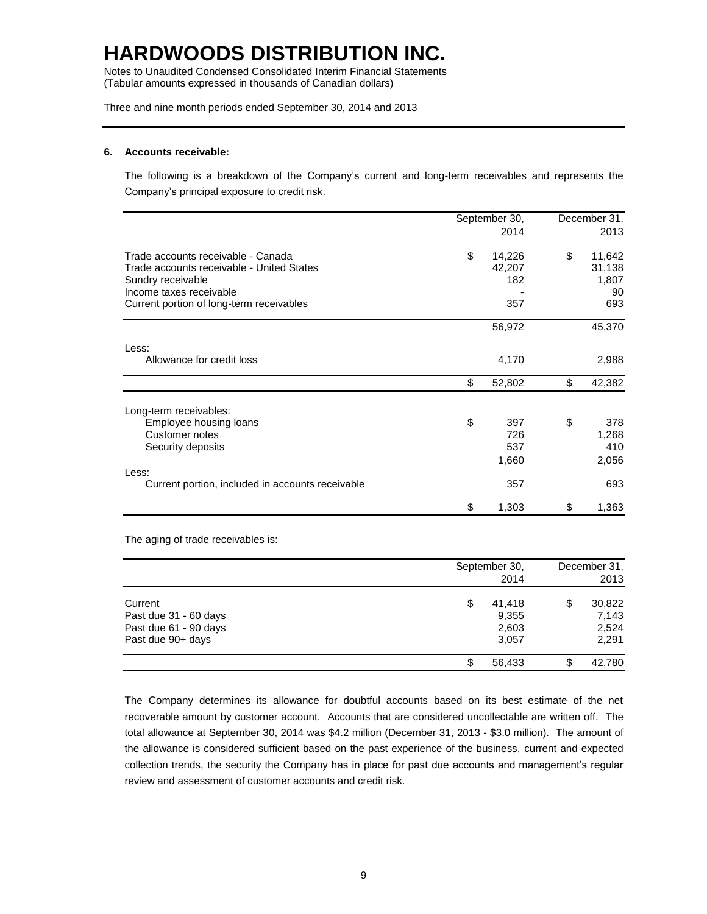Notes to Unaudited Condensed Consolidated Interim Financial Statements (Tabular amounts expressed in thousands of Canadian dollars)

Three and nine month periods ended September 30, 2014 and 2013

#### **6. Accounts receivable:**

The following is a breakdown of the Company's current and long-term receivables and represents the Company's principal exposure to credit risk.

|                                                  | September 30, | December 31, |
|--------------------------------------------------|---------------|--------------|
|                                                  | 2014          | 2013         |
| Trade accounts receivable - Canada               | \$<br>14,226  | \$<br>11,642 |
| Trade accounts receivable - United States        | 42,207        | 31,138       |
| Sundry receivable                                | 182           | 1,807        |
| Income taxes receivable                          |               | 90           |
| Current portion of long-term receivables         | 357           | 693          |
|                                                  | 56,972        | 45,370       |
| Less:                                            |               |              |
| Allowance for credit loss                        | 4,170         | 2,988        |
|                                                  | \$<br>52,802  | \$<br>42,382 |
| Long-term receivables:                           |               |              |
| Employee housing loans                           | \$<br>397     | \$<br>378    |
| <b>Customer notes</b>                            | 726           | 1,268        |
| Security deposits                                | 537           | 410          |
|                                                  | 1,660         | 2,056        |
| Less:                                            |               |              |
| Current portion, included in accounts receivable | 357           | 693          |
|                                                  | \$<br>1,303   | \$<br>1,363  |

The aging of trade receivables is:

|                       | September 30,<br>2014 | December 31,<br>2013 |
|-----------------------|-----------------------|----------------------|
| Current               | \$<br>41.418          | \$<br>30,822         |
| Past due 31 - 60 days | 9,355                 | 7,143                |
| Past due 61 - 90 days | 2,603                 | 2,524                |
| Past due 90+ days     | 3,057                 | 2,291                |
|                       | 56.433                | \$<br>42.780         |

The Company determines its allowance for doubtful accounts based on its best estimate of the net recoverable amount by customer account. Accounts that are considered uncollectable are written off. The total allowance at September 30, 2014 was \$4.2 million (December 31, 2013 - \$3.0 million). The amount of the allowance is considered sufficient based on the past experience of the business, current and expected collection trends, the security the Company has in place for past due accounts and management's regular review and assessment of customer accounts and credit risk.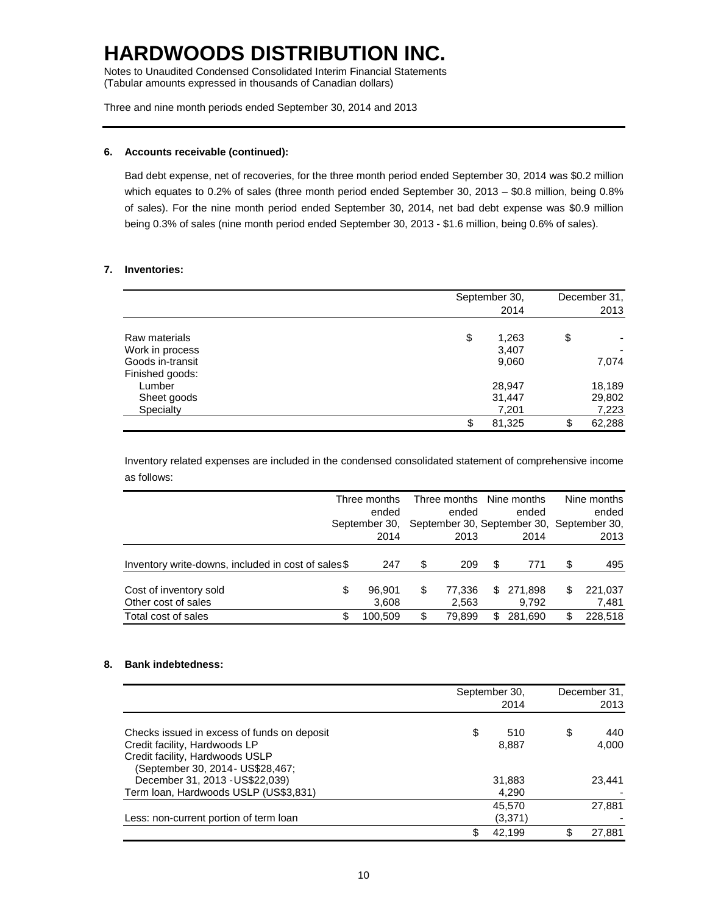Notes to Unaudited Condensed Consolidated Interim Financial Statements (Tabular amounts expressed in thousands of Canadian dollars)

Three and nine month periods ended September 30, 2014 and 2013

### **6. Accounts receivable (continued):**

Bad debt expense, net of recoveries, for the three month period ended September 30, 2014 was \$0.2 million which equates to 0.2% of sales (three month period ended September 30, 2013 – \$0.8 million, being 0.8% of sales). For the nine month period ended September 30, 2014, net bad debt expense was \$0.9 million being 0.3% of sales (nine month period ended September 30, 2013 - \$1.6 million, being 0.6% of sales).

### **7. Inventories:**

|                                                       | September 30,<br>2014         | December 31,<br>2013      |
|-------------------------------------------------------|-------------------------------|---------------------------|
| Raw materials<br>Work in process<br>Goods in-transit  | \$<br>1,263<br>3,407<br>9,060 | \$<br>7,074               |
| Finished goods:<br>Lumber<br>Sheet goods<br>Specialty | 28,947<br>31,447<br>7,201     | 18,189<br>29,802<br>7,223 |
|                                                       | \$<br>81,325                  | \$<br>62,288              |

Inventory related expenses are included in the condensed consolidated statement of comprehensive income as follows:

|                                                    |   | Three months<br>ended | Three months<br>ended |     | Nine months<br>ended                              |    | Nine months<br>ended |
|----------------------------------------------------|---|-----------------------|-----------------------|-----|---------------------------------------------------|----|----------------------|
|                                                    |   | September 30,<br>2014 | 2013                  |     | September 30, September 30, September 30,<br>2014 |    | 2013                 |
|                                                    |   |                       |                       |     |                                                   |    |                      |
| Inventory write-downs, included in cost of sales\$ |   | 247                   | \$<br>209             | \$. | 771                                               | S  | 495                  |
|                                                    | S | 96.901                | \$<br>77.336          | S   | 271.898                                           | S  | 221.037              |
| Cost of inventory sold<br>Other cost of sales      |   | 3,608                 | 2.563                 |     | 9.792                                             |    | 7,481                |
| Total cost of sales                                |   | 100.509               | \$<br>79.899          | £.  | 281.690                                           | ß. | 228.518              |

### **8. Bank indebtedness:**

|                                                                                                                                                      | September 30,<br>2014 |    | December 31,<br>2013 |
|------------------------------------------------------------------------------------------------------------------------------------------------------|-----------------------|----|----------------------|
| Checks issued in excess of funds on deposit<br>Credit facility, Hardwoods LP<br>Credit facility, Hardwoods USLP<br>(September 30, 2014 - US\$28,467; | \$<br>510<br>8,887    | S  | 440<br>4,000         |
| December 31, 2013 - US\$22,039)<br>Term Ioan, Hardwoods USLP (US\$3,831)                                                                             | 31,883<br>4,290       |    | 23.441               |
| Less: non-current portion of term loan                                                                                                               | 45.570<br>(3,371)     |    | 27,881               |
|                                                                                                                                                      | \$<br>42.199          | \$ | 27.881               |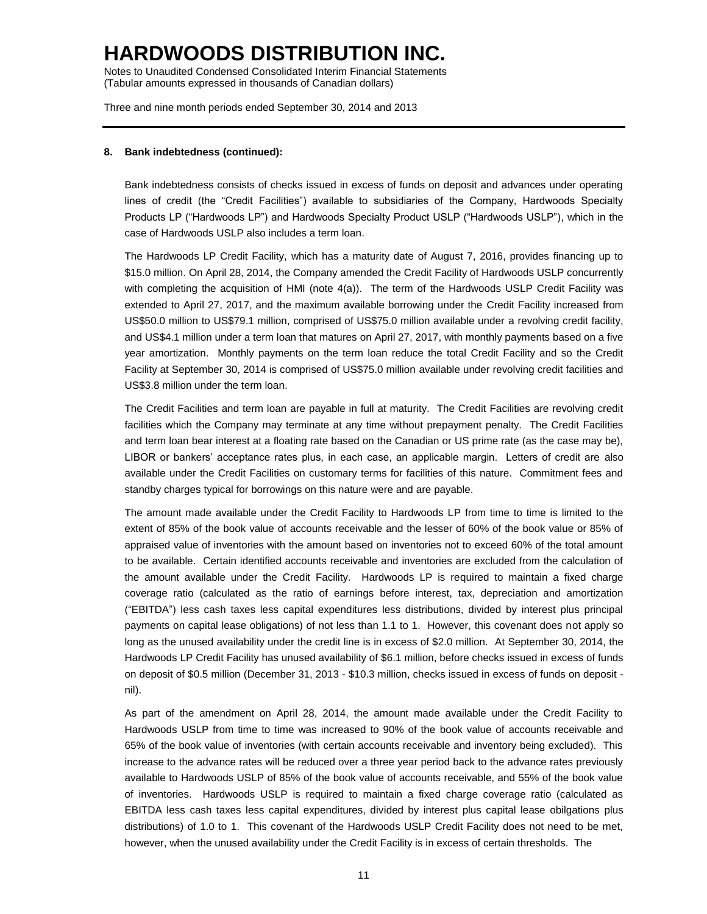Notes to Unaudited Condensed Consolidated Interim Financial Statements (Tabular amounts expressed in thousands of Canadian dollars)

Three and nine month periods ended September 30, 2014 and 2013

#### **8. Bank indebtedness (continued):**

Bank indebtedness consists of checks issued in excess of funds on deposit and advances under operating lines of credit (the "Credit Facilities") available to subsidiaries of the Company, Hardwoods Specialty Products LP ("Hardwoods LP") and Hardwoods Specialty Product USLP ("Hardwoods USLP"), which in the case of Hardwoods USLP also includes a term loan.

The Hardwoods LP Credit Facility, which has a maturity date of August 7, 2016, provides financing up to \$15.0 million. On April 28, 2014, the Company amended the Credit Facility of Hardwoods USLP concurrently with completing the acquisition of HMI (note 4(a)). The term of the Hardwoods USLP Credit Facility was extended to April 27, 2017, and the maximum available borrowing under the Credit Facility increased from US\$50.0 million to US\$79.1 million, comprised of US\$75.0 million available under a revolving credit facility, and US\$4.1 million under a term loan that matures on April 27, 2017, with monthly payments based on a five year amortization. Monthly payments on the term loan reduce the total Credit Facility and so the Credit Facility at September 30, 2014 is comprised of US\$75.0 million available under revolving credit facilities and US\$3.8 million under the term loan.

The Credit Facilities and term loan are payable in full at maturity. The Credit Facilities are revolving credit facilities which the Company may terminate at any time without prepayment penalty. The Credit Facilities and term loan bear interest at a floating rate based on the Canadian or US prime rate (as the case may be), LIBOR or bankers' acceptance rates plus, in each case, an applicable margin. Letters of credit are also available under the Credit Facilities on customary terms for facilities of this nature. Commitment fees and standby charges typical for borrowings on this nature were and are payable.

The amount made available under the Credit Facility to Hardwoods LP from time to time is limited to the extent of 85% of the book value of accounts receivable and the lesser of 60% of the book value or 85% of appraised value of inventories with the amount based on inventories not to exceed 60% of the total amount to be available. Certain identified accounts receivable and inventories are excluded from the calculation of the amount available under the Credit Facility. Hardwoods LP is required to maintain a fixed charge coverage ratio (calculated as the ratio of earnings before interest, tax, depreciation and amortization ("EBITDA") less cash taxes less capital expenditures less distributions, divided by interest plus principal payments on capital lease obligations) of not less than 1.1 to 1. However, this covenant does not apply so long as the unused availability under the credit line is in excess of \$2.0 million. At September 30, 2014, the Hardwoods LP Credit Facility has unused availability of \$6.1 million, before checks issued in excess of funds on deposit of \$0.5 million (December 31, 2013 - \$10.3 million, checks issued in excess of funds on deposit nil).

As part of the amendment on April 28, 2014, the amount made available under the Credit Facility to Hardwoods USLP from time to time was increased to 90% of the book value of accounts receivable and 65% of the book value of inventories (with certain accounts receivable and inventory being excluded). This increase to the advance rates will be reduced over a three year period back to the advance rates previously available to Hardwoods USLP of 85% of the book value of accounts receivable, and 55% of the book value of inventories. Hardwoods USLP is required to maintain a fixed charge coverage ratio (calculated as EBITDA less cash taxes less capital expenditures, divided by interest plus capital lease obilgations plus distributions) of 1.0 to 1. This covenant of the Hardwoods USLP Credit Facility does not need to be met, however, when the unused availability under the Credit Facility is in excess of certain thresholds. The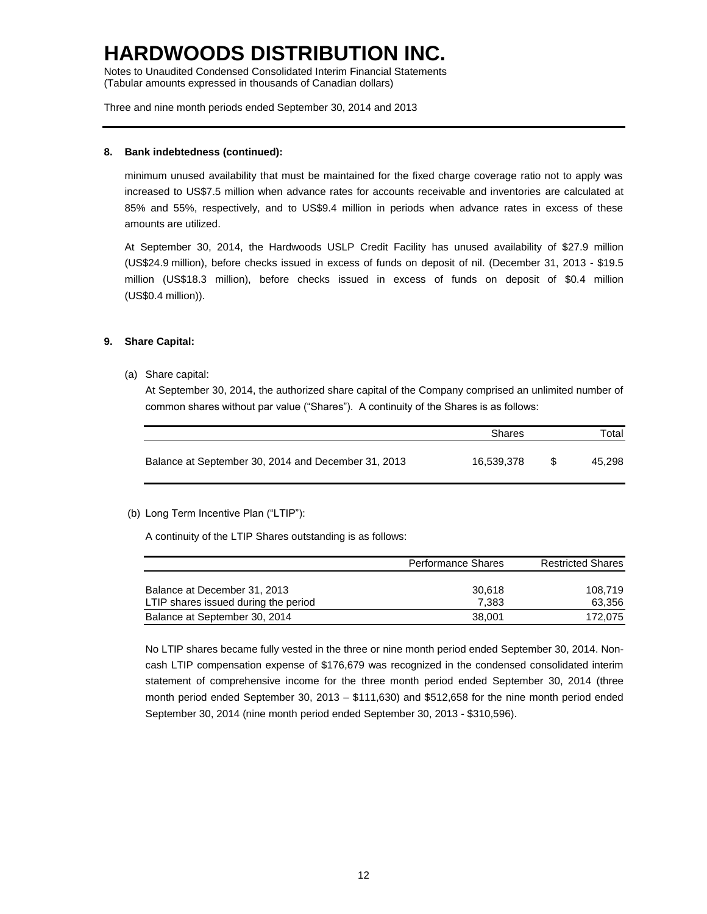Notes to Unaudited Condensed Consolidated Interim Financial Statements (Tabular amounts expressed in thousands of Canadian dollars)

Three and nine month periods ended September 30, 2014 and 2013

### **8. Bank indebtedness (continued):**

minimum unused availability that must be maintained for the fixed charge coverage ratio not to apply was increased to US\$7.5 million when advance rates for accounts receivable and inventories are calculated at 85% and 55%, respectively, and to US\$9.4 million in periods when advance rates in excess of these amounts are utilized.

At September 30, 2014, the Hardwoods USLP Credit Facility has unused availability of \$27.9 million (US\$24.9 million), before checks issued in excess of funds on deposit of nil. (December 31, 2013 - \$19.5 million (US\$18.3 million), before checks issued in excess of funds on deposit of \$0.4 million (US\$0.4 million)).

### **9. Share Capital:**

(a) Share capital:

At September 30, 2014, the authorized share capital of the Company comprised an unlimited number of common shares without par value ("Shares"). A continuity of the Shares is as follows:

|                                                     | <b>Shares</b> |     | Total  |  |  |
|-----------------------------------------------------|---------------|-----|--------|--|--|
| Balance at September 30, 2014 and December 31, 2013 | 16.539.378    | -SS | 45.298 |  |  |

### (b) Long Term Incentive Plan ("LTIP"):

A continuity of the LTIP Shares outstanding is as follows:

|                                                                      | <b>Performance Shares</b> | <b>Restricted Shares</b> |  |  |
|----------------------------------------------------------------------|---------------------------|--------------------------|--|--|
| Balance at December 31, 2013<br>LTIP shares issued during the period | 30.618<br>7.383           | 108.719<br>63.356        |  |  |
| Balance at September 30, 2014                                        | 38,001                    | 172.075                  |  |  |

No LTIP shares became fully vested in the three or nine month period ended September 30, 2014. Noncash LTIP compensation expense of \$176,679 was recognized in the condensed consolidated interim statement of comprehensive income for the three month period ended September 30, 2014 (three month period ended September 30, 2013 – \$111,630) and \$512,658 for the nine month period ended September 30, 2014 (nine month period ended September 30, 2013 - \$310,596).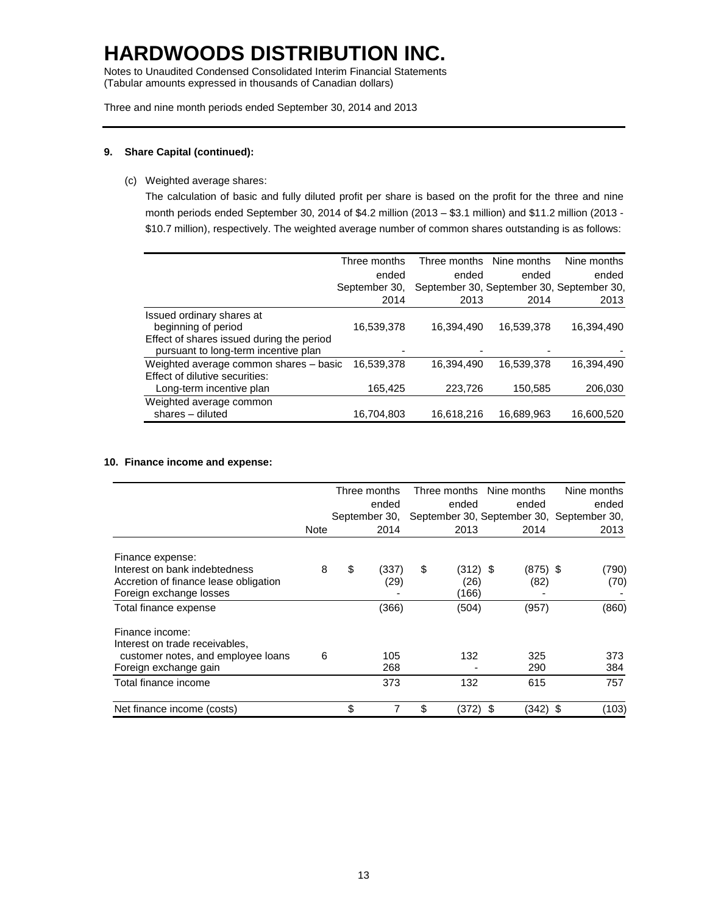Notes to Unaudited Condensed Consolidated Interim Financial Statements (Tabular amounts expressed in thousands of Canadian dollars)

Three and nine month periods ended September 30, 2014 and 2013

### **9. Share Capital (continued):**

(c) Weighted average shares:

The calculation of basic and fully diluted profit per share is based on the profit for the three and nine month periods ended September 30, 2014 of \$4.2 million (2013 – \$3.1 million) and \$11.2 million (2013 - \$10.7 million), respectively. The weighted average number of common shares outstanding is as follows:

|                                           | Three months  |            | Three months Nine months | Nine months                               |
|-------------------------------------------|---------------|------------|--------------------------|-------------------------------------------|
|                                           | ended         | ended      | ended                    | ended                                     |
|                                           | September 30. |            |                          | September 30, September 30, September 30, |
|                                           | 2014          | 2013       | 2014                     | 2013                                      |
| Issued ordinary shares at                 |               |            |                          |                                           |
| beginning of period                       | 16,539,378    | 16.394.490 | 16.539.378               | 16,394,490                                |
| Effect of shares issued during the period |               |            |                          |                                           |
| pursuant to long-term incentive plan      |               |            |                          |                                           |
| Weighted average common shares - basic    | 16,539,378    | 16.394.490 | 16,539,378               | 16,394,490                                |
| Effect of dilutive securities:            |               |            |                          |                                           |
| Long-term incentive plan                  | 165,425       | 223,726    | 150,585                  | 206,030                                   |
| Weighted average common                   |               |            |                          |                                           |
| shares - diluted                          | 16,704,803    | 16,618,216 | 16,689,963               | 16,600,520                                |

### **10. Finance income and expense:**

|                                       |             | Three months<br>ended<br>September 30, |       |                                           |            | Three months Nine months | Nine months |  |
|---------------------------------------|-------------|----------------------------------------|-------|-------------------------------------------|------------|--------------------------|-------------|--|
|                                       |             |                                        |       |                                           | ended      | ended                    | ended       |  |
|                                       |             |                                        |       | September 30, September 30, September 30, |            |                          |             |  |
|                                       | <b>Note</b> |                                        | 2014  |                                           | 2013       | 2014                     | 2013        |  |
| Finance expense:                      |             |                                        |       |                                           |            |                          |             |  |
| Interest on bank indebtedness         | 8           | \$                                     | (337) | \$                                        | $(312)$ \$ | $(875)$ \$               | (790)       |  |
| Accretion of finance lease obligation |             |                                        | (29)  |                                           | (26)       | (82)                     | (70)        |  |
| Foreign exchange losses               |             |                                        |       |                                           | (166)      |                          |             |  |
| Total finance expense                 |             |                                        | (366) |                                           | (504)      | (957)                    | (860)       |  |
| Finance income:                       |             |                                        |       |                                           |            |                          |             |  |
| Interest on trade receivables,        |             |                                        |       |                                           |            |                          |             |  |
| customer notes, and employee loans    | 6           |                                        | 105   |                                           | 132        | 325                      | 373         |  |
| Foreign exchange gain                 |             |                                        | 268   |                                           |            | 290                      | 384         |  |
| Total finance income                  |             |                                        | 373   |                                           | 132        | 615                      | 757         |  |
| Net finance income (costs)            |             | \$                                     |       | \$                                        | (372)      | (342) \$<br>\$           | (103)       |  |